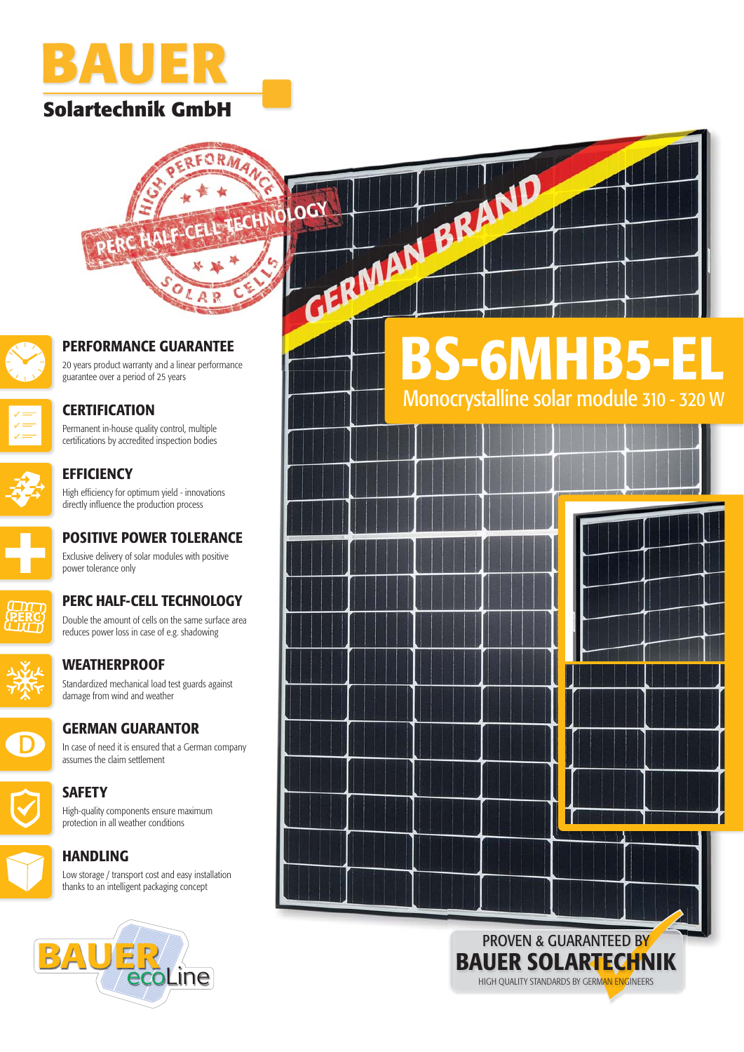

## **Solartechnik GmbH Sol**





### **PERFORMANCE GUARANTEE**

20 years product warranty and a linear performance guarantee over a period of 25 years



### **CERTIFICATION**

Permanent in-house quality control, multiple certifications by accredited inspection bodies



**EFFICIENCY** High efficiency for optimum yield - innovations directly influence the production process



### **POSITIVE POWER TOLERANCE** Exclusive delivery of solar modules with positive power tolerance only



**PERC HALF-CELL TECHNOLOGY** Double the amount of cells on the same surface area

reduces power loss in case of e.g. shadowing



## **WEATHERPROOF**

Standardized mechanical load test guards against damage from wind and weather



### **GERMAN GUARANTOR**

In case of need it is ensured that a German company assumes the claim settlement



**SAFETY** High-quality components ensure maximum protection in all weather conditions

### **HANDLING**

Low storage / transport cost and easy installation thanks to an intelligent packaging concept



# **BS-6MHB5-EL** Monocrystalline solar module 310 - 320 W



HIGH QUALITY STANDARDS BY GERMAN ENGINEERS